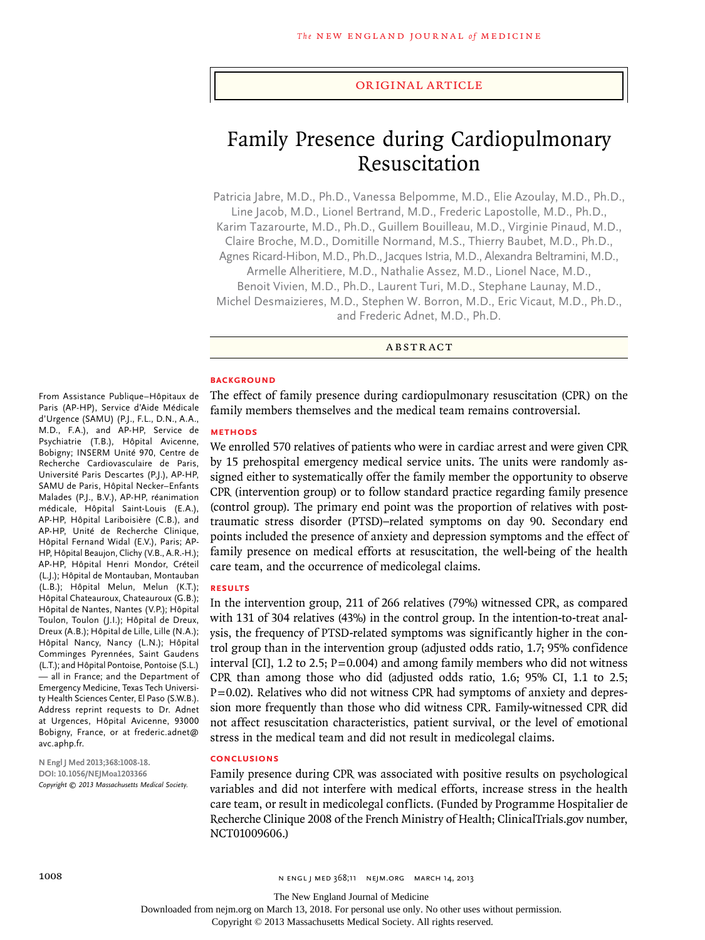#### original article

# Family Presence during Cardiopulmonary Resuscitation

Patricia Jabre, M.D., Ph.D., Vanessa Belpomme, M.D., Elie Azoulay, M.D., Ph.D., Line Jacob, M.D., Lionel Bertrand, M.D., Frederic Lapostolle, M.D., Ph.D., Karim Tazarourte, M.D., Ph.D., Guillem Bouilleau, M.D., Virginie Pinaud, M.D., Claire Broche, M.D., Domitille Normand, M.S., Thierry Baubet, M.D., Ph.D., Agnes Ricard-Hibon, M.D., Ph.D., Jacques Istria, M.D., Alexandra Beltramini, M.D., Armelle Alheritiere, M.D., Nathalie Assez, M.D., Lionel Nace, M.D., Benoit Vivien, M.D., Ph.D., Laurent Turi, M.D., Stephane Launay, M.D., Michel Desmaizieres, M.D., Stephen W. Borron, M.D., Eric Vicaut, M.D., Ph.D.,

and Frederic Adnet, M.D., Ph.D.

#### **ABSTRACT**

#### **BACKGROUND**

The effect of family presence during cardiopulmonary resuscitation (CPR) on the family members themselves and the medical team remains controversial.

#### **Methods**

From Assistance Publique–Hôpitaux de Paris (AP-HP), Service d'Aide Médicale d'Urgence (SAMU) (P.J., F.L., D.N., A.A., M.D., F.A.), and AP-HP, Service de Psychiatrie (T.B.), Hôpital Avicenne, Bobigny; INSERM Unité 970, Centre de Recherche Cardiovasculaire de Paris, Université Paris Descartes (P.J.), AP-HP, SAMU de Paris, Hôpital Necker–Enfants Malades (P.J., B.V.), AP-HP, réanimation médicale, Hôpital Saint-Louis (E.A.), AP-HP, Hôpital Lariboisière (C.B.), and AP-HP, Unité de Recherche Clinique, Hôpital Fernand Widal (E.V.), Paris; AP-HP, Hôpital Beaujon, Clichy (V.B., A.R.-H.); AP-HP, Hôpital Henri Mondor, Créteil (L.J.); Hôpital de Montauban, Montauban (L.B.); Hôpital Melun, Melun (K.T.); Hôpital Chateauroux, Chateauroux (G.B.); Hôpital de Nantes, Nantes (V.P.); Hôpital Toulon, Toulon (J.I.); Hôpital de Dreux, Dreux (A.B.); Hôpital de Lille, Lille (N.A.); Hôpital Nancy, Nancy (L.N.); Hôpital Comminges Pyrennées, Saint Gaudens (L.T.); and Hôpital Pontoise, Pontoise (S.L.) — all in France; and the Department of Emergency Medicine, Texas Tech University Health Sciences Center, El Paso (S.W.B.). Address reprint requests to Dr. Adnet at Urgences, Hôpital Avicenne, 93000 Bobigny, France, or at frederic.adnet@

We enrolled 570 relatives of patients who were in cardiac arrest and were given CPR by 15 prehospital emergency medical service units. The units were randomly assigned either to systematically offer the family member the opportunity to observe CPR (intervention group) or to follow standard practice regarding family presence (control group). The primary end point was the proportion of relatives with posttraumatic stress disorder (PTSD)–related symptoms on day 90. Secondary end points included the presence of anxiety and depression symptoms and the effect of family presence on medical efforts at resuscitation, the well-being of the health care team, and the occurrence of medicolegal claims.

#### **Results**

In the intervention group, 211 of 266 relatives (79%) witnessed CPR, as compared with 131 of 304 relatives (43%) in the control group. In the intention-to-treat analysis, the frequency of PTSD-related symptoms was significantly higher in the control group than in the intervention group (adjusted odds ratio, 1.7; 95% confidence interval [CI], 1.2 to 2.5;  $P=0.004$ ) and among family members who did not witness CPR than among those who did (adjusted odds ratio, 1.6; 95% CI, 1.1 to 2.5;  $P=0.02$ ). Relatives who did not witness CPR had symptoms of anxiety and depression more frequently than those who did witness CPR. Family-witnessed CPR did not affect resuscitation characteristics, patient survival, or the level of emotional stress in the medical team and did not result in medicolegal claims.

#### **Conclusions**

Family presence during CPR was associated with positive results on psychological variables and did not interfere with medical efforts, increase stress in the health care team, or result in medicolegal conflicts. (Funded by Programme Hospitalier de Recherche Clinique 2008 of the French Ministry of Health; ClinicalTrials.gov number, NCT01009606.)

**N Engl J Med 2013;368:1008-18. DOI: 10.1056/NEJMoa1203366** *Copyright © 2013 Massachusetts Medical Society.*

avc.aphp.fr.

The New England Journal of Medicine

Downloaded from nejm.org on March 13, 2018. For personal use only. No other uses without permission.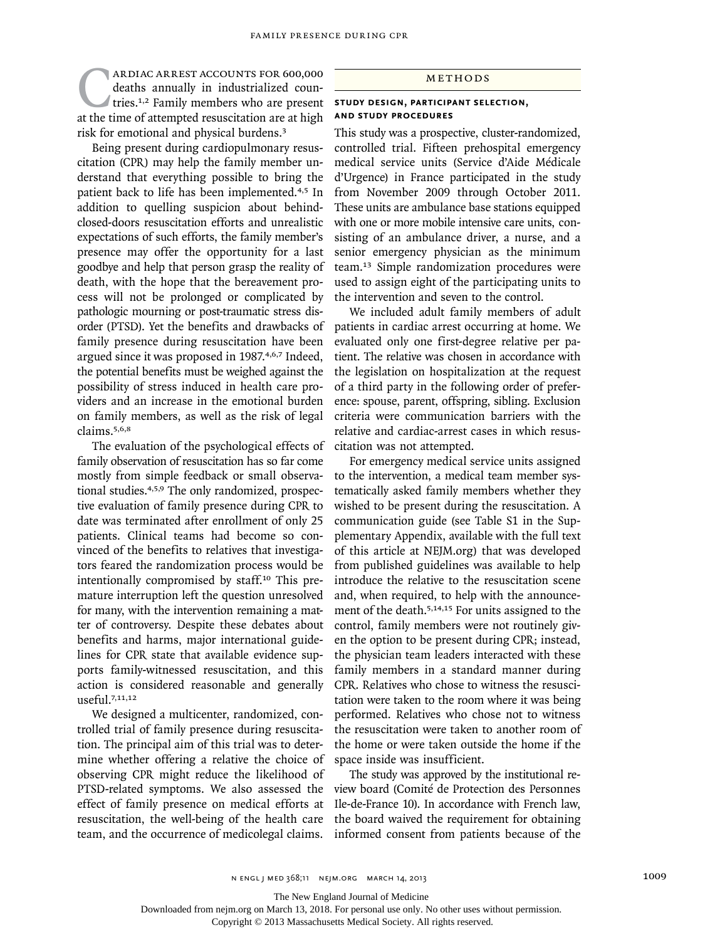**CARDIAC ARREST ACCOUNTS FOR 600,000** deaths annually in industrialized countries.<sup>1,2</sup> Family members who are present at the time of attempted resuscitation are at high deaths annually in industrialized countries.<sup>1,2</sup> Family members who are present risk for emotional and physical burdens.<sup>3</sup>

Being present during cardiopulmonary resuscitation (CPR) may help the family member understand that everything possible to bring the patient back to life has been implemented.<sup>4,5</sup> In addition to quelling suspicion about behindclosed-doors resuscitation efforts and unrealistic expectations of such efforts, the family member's presence may offer the opportunity for a last goodbye and help that person grasp the reality of death, with the hope that the bereavement process will not be prolonged or complicated by pathologic mourning or post-traumatic stress disorder (PTSD). Yet the benefits and drawbacks of family presence during resuscitation have been argued since it was proposed in 1987.4,6,7 Indeed, the potential benefits must be weighed against the possibility of stress induced in health care providers and an increase in the emotional burden on family members, as well as the risk of legal claims.5,6,8

The evaluation of the psychological effects of family observation of resuscitation has so far come mostly from simple feedback or small observational studies.4,5,9 The only randomized, prospective evaluation of family presence during CPR to date was terminated after enrollment of only 25 patients. Clinical teams had become so convinced of the benefits to relatives that investigators feared the randomization process would be intentionally compromised by staff.<sup>10</sup> This premature interruption left the question unresolved for many, with the intervention remaining a matter of controversy. Despite these debates about benefits and harms, major international guidelines for CPR state that available evidence supports family-witnessed resuscitation, and this action is considered reasonable and generally useful.7,11,12

We designed a multicenter, randomized, controlled trial of family presence during resuscitation. The principal aim of this trial was to determine whether offering a relative the choice of observing CPR might reduce the likelihood of PTSD-related symptoms. We also assessed the effect of family presence on medical efforts at resuscitation, the well-being of the health care team, and the occurrence of medicolegal claims.

#### **METHODS**

#### **Study Design, Participant Selection, and Study Procedures**

This study was a prospective, cluster-randomized, controlled trial. Fifteen prehospital emergency medical service units (Service d'Aide Médicale d'Urgence) in France participated in the study from November 2009 through October 2011. These units are ambulance base stations equipped with one or more mobile intensive care units, consisting of an ambulance driver, a nurse, and a senior emergency physician as the minimum team.13 Simple randomization procedures were used to assign eight of the participating units to the intervention and seven to the control.

We included adult family members of adult patients in cardiac arrest occurring at home. We evaluated only one first-degree relative per patient. The relative was chosen in accordance with the legislation on hospitalization at the request of a third party in the following order of preference: spouse, parent, offspring, sibling. Exclusion criteria were communication barriers with the relative and cardiac-arrest cases in which resuscitation was not attempted.

For emergency medical service units assigned to the intervention, a medical team member systematically asked family members whether they wished to be present during the resuscitation. A communication guide (see Table S1 in the Supplementary Appendix, available with the full text of this article at NEJM.org) that was developed from published guidelines was available to help introduce the relative to the resuscitation scene and, when required, to help with the announcement of the death.<sup>5,14,15</sup> For units assigned to the control, family members were not routinely given the option to be present during CPR; instead, the physician team leaders interacted with these family members in a standard manner during CPR. Relatives who chose to witness the resuscitation were taken to the room where it was being performed. Relatives who chose not to witness the resuscitation were taken to another room of the home or were taken outside the home if the space inside was insufficient.

The study was approved by the institutional review board (Comité de Protection des Personnes Ile-de-France 10). In accordance with French law, the board waived the requirement for obtaining informed consent from patients because of the

The New England Journal of Medicine

Downloaded from nejm.org on March 13, 2018. For personal use only. No other uses without permission.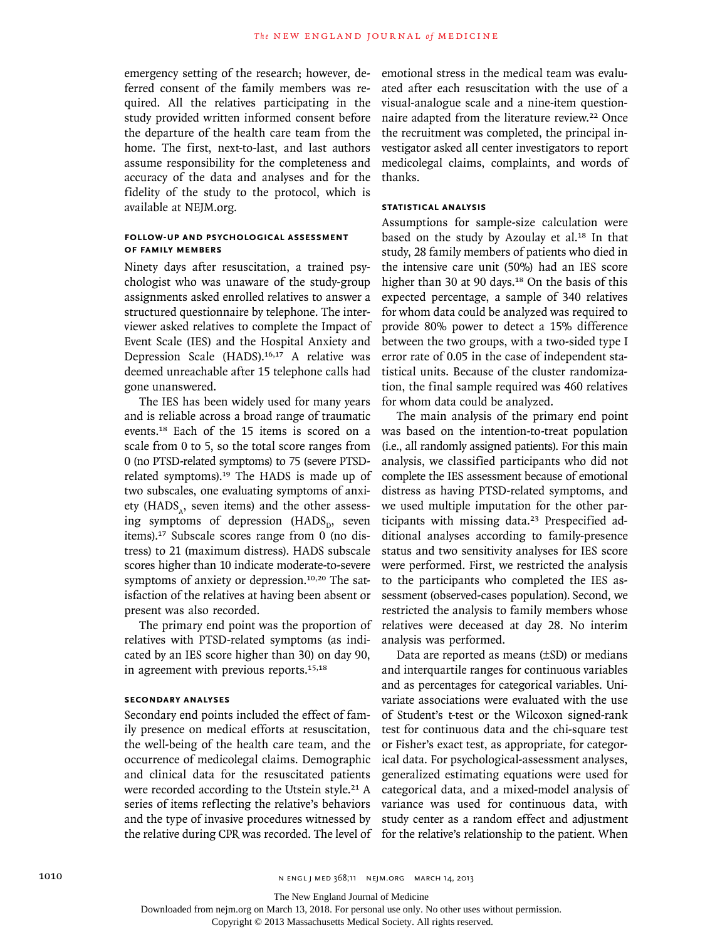emergency setting of the research; however, deferred consent of the family members was required. All the relatives participating in the study provided written informed consent before the departure of the health care team from the home. The first, next-to-last, and last authors assume responsibility for the completeness and accuracy of the data and analyses and for the fidelity of the study to the protocol, which is available at NEJM.org.

# **Follow-up and Psychological Assessment of Family Members**

Ninety days after resuscitation, a trained psychologist who was unaware of the study-group assignments asked enrolled relatives to answer a structured questionnaire by telephone. The interviewer asked relatives to complete the Impact of Event Scale (IES) and the Hospital Anxiety and Depression Scale (HADS).<sup>16,17</sup> A relative was deemed unreachable after 15 telephone calls had gone unanswered.

The IES has been widely used for many years and is reliable across a broad range of traumatic events.18 Each of the 15 items is scored on a scale from 0 to 5, so the total score ranges from 0 (no PTSD-related symptoms) to 75 (severe PTSDrelated symptoms).<sup>19</sup> The HADS is made up of two subscales, one evaluating symptoms of anxiety ( $HADS<sub>a</sub>$ , seven items) and the other assessing symptoms of depression (HADS<sub>D</sub>, seven items).17 Subscale scores range from 0 (no distress) to 21 (maximum distress). HADS subscale scores higher than 10 indicate moderate-to-severe symptoms of anxiety or depression.<sup>10,20</sup> The satisfaction of the relatives at having been absent or present was also recorded.

The primary end point was the proportion of relatives with PTSD-related symptoms (as indicated by an IES score higher than 30) on day 90, in agreement with previous reports.15,18

# **Secondary Analyses**

Secondary end points included the effect of family presence on medical efforts at resuscitation, the well-being of the health care team, and the occurrence of medicolegal claims. Demographic and clinical data for the resuscitated patients were recorded according to the Utstein style.<sup>21</sup> A series of items reflecting the relative's behaviors and the type of invasive procedures witnessed by the relative during CPR was recorded. The level of for the relative's relationship to the patient. When

emotional stress in the medical team was evaluated after each resuscitation with the use of a visual-analogue scale and a nine-item questionnaire adapted from the literature review.<sup>22</sup> Once the recruitment was completed, the principal investigator asked all center investigators to report medicolegal claims, complaints, and words of thanks.

## **Statistical Analysis**

Assumptions for sample-size calculation were based on the study by Azoulay et al.<sup>18</sup> In that study, 28 family members of patients who died in the intensive care unit (50%) had an IES score higher than 30 at 90 days.<sup>18</sup> On the basis of this expected percentage, a sample of 340 relatives for whom data could be analyzed was required to provide 80% power to detect a 15% difference between the two groups, with a two-sided type I error rate of 0.05 in the case of independent statistical units. Because of the cluster randomization, the final sample required was 460 relatives for whom data could be analyzed.

The main analysis of the primary end point was based on the intention-to-treat population (i.e., all randomly assigned patients). For this main analysis, we classified participants who did not complete the IES assessment because of emotional distress as having PTSD-related symptoms, and we used multiple imputation for the other participants with missing data.23 Prespecified additional analyses according to family-presence status and two sensitivity analyses for IES score were performed. First, we restricted the analysis to the participants who completed the IES assessment (observed-cases population). Second, we restricted the analysis to family members whose relatives were deceased at day 28. No interim analysis was performed.

Data are reported as means (±SD) or medians and interquartile ranges for continuous variables and as percentages for categorical variables. Univariate associations were evaluated with the use of Student's t-test or the Wilcoxon signed-rank test for continuous data and the chi-square test or Fisher's exact test, as appropriate, for categorical data. For psychological-assessment analyses, generalized estimating equations were used for categorical data, and a mixed-model analysis of variance was used for continuous data, with study center as a random effect and adjustment

The New England Journal of Medicine

Downloaded from nejm.org on March 13, 2018. For personal use only. No other uses without permission.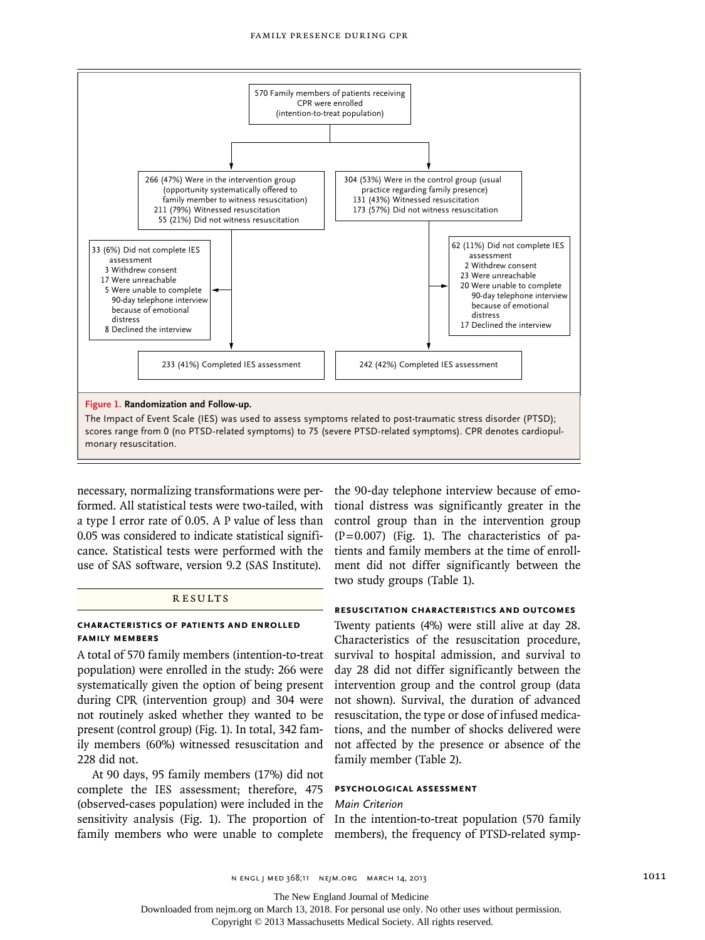

necessary, normalizing transformations were performed. All statistical tests were two-tailed, with tional distress was significantly greater in the a type I error rate of 0.05. A P value of less than 0.05 was considered to indicate statistical significance. Statistical tests were performed with the use of SAS software, version 9.2 (SAS Institute).

## **RESULTS**

#### **Characteristics of Patients and Enrolled Family Members**

A total of 570 family members (intention-to-treat population) were enrolled in the study: 266 were systematically given the option of being present during CPR (intervention group) and 304 were not routinely asked whether they wanted to be present (control group) (Fig. 1). In total, 342 family members (60%) witnessed resuscitation and 228 did not.

At 90 days, 95 family members (17%) did not complete the IES assessment; therefore, 475 (observed-cases population) were included in the sensitivity analysis (Fig. 1). The proportion of In the intention-to-treat population (570 family family members who were unable to complete members), the frequency of PTSD-related symp-

the 90-day telephone interview because of emocontrol group than in the intervention group  $(P=0.007)$  (Fig. 1). The characteristics of patients and family members at the time of enrollment did not differ significantly between the two study groups (Table 1).

# **Resuscitation Characteristics and Outcomes**

Twenty patients (4%) were still alive at day 28. Characteristics of the resuscitation procedure, survival to hospital admission, and survival to day 28 did not differ significantly between the intervention group and the control group (data not shown). Survival, the duration of advanced resuscitation, the type or dose of infused medications, and the number of shocks delivered were not affected by the presence or absence of the family member (Table 2).

#### **Psychological Assessment**

#### *Main Criterion*

The New England Journal of Medicine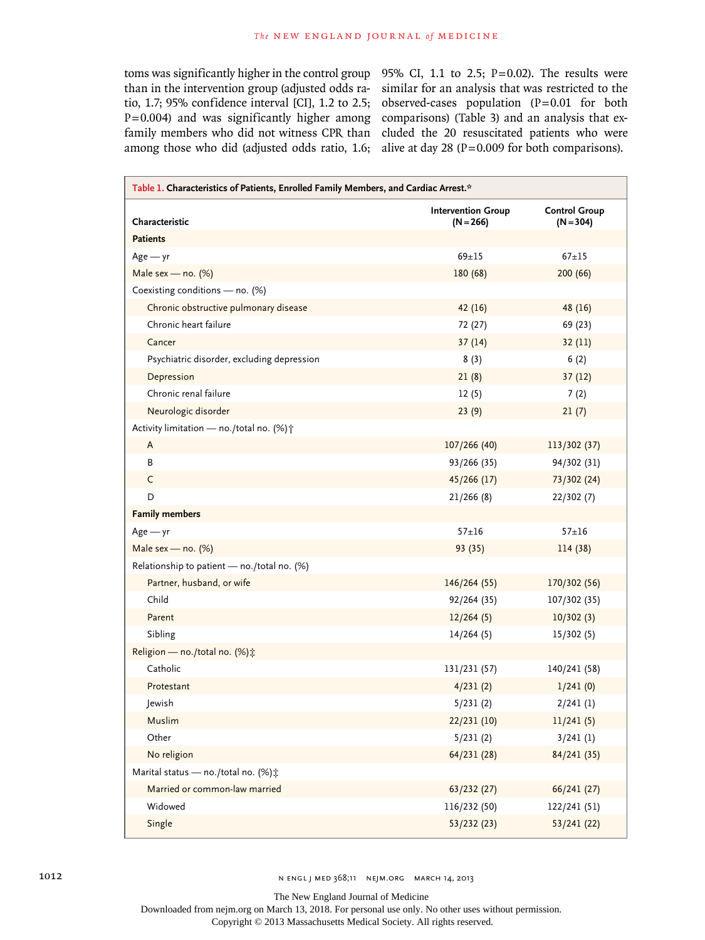than in the intervention group (adjusted odds ratio, 1.7; 95% confidence interval [CI], 1.2 to 2.5;  $P=0.004$ ) and was significantly higher among family members who did not witness CPR than among those who did (adjusted odds ratio,  $1.6$ ; alive at day  $28$  (P=0.009 for both comparisons).

toms was significantly higher in the control group  $95\%$  CI, 1.1 to 2.5; P=0.02). The results were similar for an analysis that was restricted to the observed-cases population  $(P=0.01$  for both comparisons) (Table 3) and an analysis that excluded the 20 resuscitated patients who were

| Table 1. Characteristics of Patients, Enrolled Family Members, and Cardiac Arrest.* |                                          |                                     |  |  |  |
|-------------------------------------------------------------------------------------|------------------------------------------|-------------------------------------|--|--|--|
| Characteristic                                                                      | <b>Intervention Group</b><br>$(N = 266)$ | <b>Control Group</b><br>$(N = 304)$ |  |  |  |
| <b>Patients</b>                                                                     |                                          |                                     |  |  |  |
| $Age - yr$                                                                          | $69 + 15$                                | $67 + 15$                           |  |  |  |
| Male sex - no. $(\%)$                                                               | 180 (68)                                 | 200 (66)                            |  |  |  |
| Coexisting conditions - no. (%)                                                     |                                          |                                     |  |  |  |
| Chronic obstructive pulmonary disease                                               | 42(16)                                   | 48 (16)                             |  |  |  |
| Chronic heart failure                                                               | 72 (27)                                  | 69 (23)                             |  |  |  |
| Cancer                                                                              | 37(14)                                   | 32(11)                              |  |  |  |
| Psychiatric disorder, excluding depression                                          | 8(3)                                     | 6(2)                                |  |  |  |
| Depression                                                                          | 21(8)                                    | 37(12)                              |  |  |  |
| Chronic renal failure                                                               | 12(5)                                    | 7(2)                                |  |  |  |
| Neurologic disorder                                                                 | 23(9)                                    | 21(7)                               |  |  |  |
| Activity limitation - no./total no. (%) +                                           |                                          |                                     |  |  |  |
| A                                                                                   | 107/266 (40)                             | 113/302 (37)                        |  |  |  |
| B                                                                                   | 93/266 (35)                              | 94/302 (31)                         |  |  |  |
| C                                                                                   | 45/266 (17)                              | 73/302 (24)                         |  |  |  |
| D                                                                                   | 21/266(8)                                | 22/302(7)                           |  |  |  |
| <b>Family members</b>                                                               |                                          |                                     |  |  |  |
| $Age - yr$                                                                          | $57 + 16$                                | $57 + 16$                           |  |  |  |
| Male sex - no. (%)                                                                  | 93(35)                                   | 114 (38)                            |  |  |  |
| Relationship to patient - no./total no. (%)                                         |                                          |                                     |  |  |  |
| Partner, husband, or wife                                                           | 146/264 (55)                             | 170/302 (56)                        |  |  |  |
| Child                                                                               | 92/264 (35)                              | 107/302 (35)                        |  |  |  |
| Parent                                                                              | 12/264(5)                                | 10/302(3)                           |  |  |  |
| Sibling                                                                             | 14/264(5)                                | 15/302(5)                           |  |  |  |
| Religion — no./total no. (%) $\ddot{x}$                                             |                                          |                                     |  |  |  |
| Catholic                                                                            | 131/231 (57)                             | 140/241 (58)                        |  |  |  |
| Protestant                                                                          | 4/231(2)                                 | 1/241(0)                            |  |  |  |
| Jewish                                                                              | 5/231(2)                                 | $2/241$ (1)                         |  |  |  |
| Muslim                                                                              | 22/231(10)                               | 11/241(5)                           |  |  |  |
| Other                                                                               | 5/231(2)                                 | 3/241(1)                            |  |  |  |
| No religion                                                                         | 64/231 (28)                              | 84/241(35)                          |  |  |  |
| Marital status - no./total no. (%);                                                 |                                          |                                     |  |  |  |
| Married or common-law married                                                       | 63/232 (27)                              | 66/241 (27)                         |  |  |  |
| Widowed                                                                             | 116/232 (50)                             | 122/241 (51)                        |  |  |  |
| Single                                                                              | 53/232(23)                               | 53/241(22)                          |  |  |  |

The New England Journal of Medicine

Downloaded from nejm.org on March 13, 2018. For personal use only. No other uses without permission.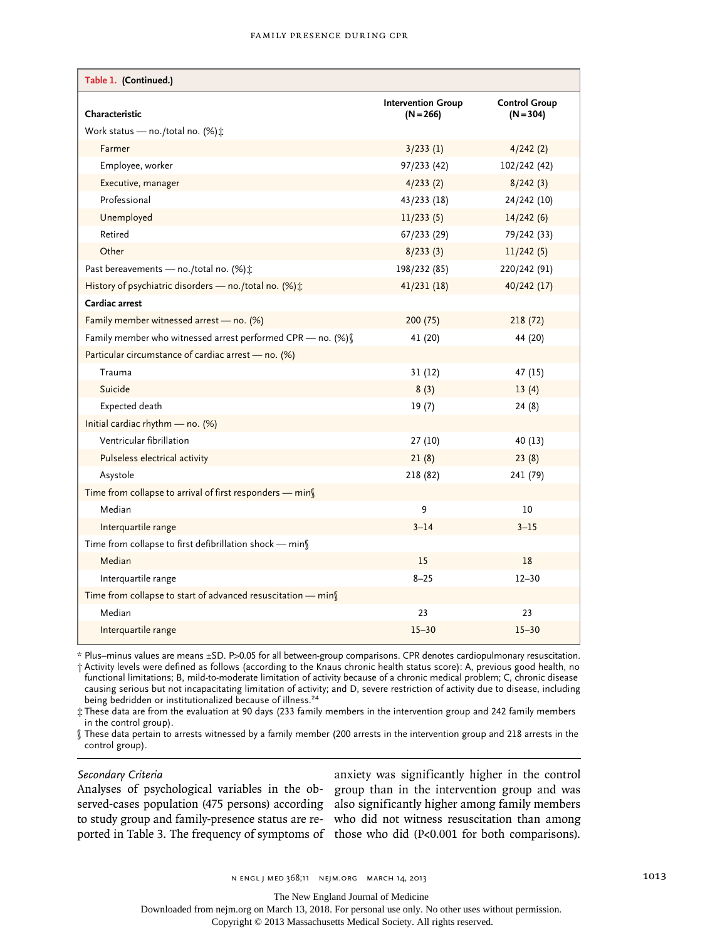| Table 1. <sup>o</sup> (Continued.)                           |                                          |                                     |
|--------------------------------------------------------------|------------------------------------------|-------------------------------------|
| Characteristic                                               | <b>Intervention Group</b><br>$(N = 266)$ | <b>Control Group</b><br>$(N = 304)$ |
| Work status — no./total no. $(\%)\hat{x}$                    |                                          |                                     |
| Farmer                                                       | 3/233(1)                                 | 4/242(2)                            |
| Employee, worker                                             | 97/233 (42)                              | 102/242 (42)                        |
| Executive, manager                                           | 4/233(2)                                 | 8/242(3)                            |
| Professional                                                 | 43/233 (18)                              | 24/242 (10)                         |
| Unemployed                                                   | 11/233(5)                                | 14/242(6)                           |
| Retired                                                      | 67/233 (29)                              | 79/242 (33)                         |
| Other                                                        | 8/233(3)                                 | 11/242(5)                           |
| Past bereavements — no./total no. $(\%)$ :                   | 198/232 (85)                             | 220/242 (91)                        |
| History of psychiatric disorders - no./total no. (%):        | 41/231(18)                               | 40/242 (17)                         |
| Cardiac arrest                                               |                                          |                                     |
| Family member witnessed arrest - no. (%)                     | 200(75)                                  | 218(72)                             |
| Family member who witnessed arrest performed CPR - no. (%)   | 41 (20)                                  | 44 (20)                             |
| Particular circumstance of cardiac arrest - no. (%)          |                                          |                                     |
| Trauma                                                       | 31(12)                                   | 47 (15)                             |
| Suicide                                                      | 8(3)                                     | 13(4)                               |
| Expected death                                               | 19(7)                                    | 24(8)                               |
| Initial cardiac rhythm $-$ no. (%)                           |                                          |                                     |
| Ventricular fibrillation                                     | 27(10)                                   | 40 (13)                             |
| Pulseless electrical activity                                | 21(8)                                    | 23(8)                               |
| Asystole                                                     | 218 (82)                                 | 241 (79)                            |
| Time from collapse to arrival of first responders - min      |                                          |                                     |
| Median                                                       | 9                                        | 10                                  |
| Interquartile range                                          | $3 - 14$                                 | $3 - 15$                            |
| Time from collapse to first defibrillation shock - min       |                                          |                                     |
| Median                                                       | 15                                       | 18                                  |
| Interquartile range                                          | $8 - 25$                                 | $12 - 30$                           |
| Time from collapse to start of advanced resuscitation - mins |                                          |                                     |
| Median                                                       | 23                                       | 23                                  |
| Interquartile range                                          | $15 - 30$                                | $15 - 30$                           |

\* Plus–minus values are means ±SD. P>0.05 for all between-group comparisons. CPR denotes cardiopulmonary resuscitation.

† Activity levels were defined as follows (according to the Knaus chronic health status score): A, previous good health, no functional limitations; B, mild-to-moderate limitation of activity because of a chronic medical problem; C, chronic disease causing serious but not incapacitating limitation of activity; and D, severe restriction of activity due to disease, including being bedridden or institutionalized because of illness.<sup>24</sup>

‡ These data are from the evaluation at 90 days (233 family members in the intervention group and 242 family members in the control group).

§ These data pertain to arrests witnessed by a family member (200 arrests in the intervention group and 218 arrests in the control group).

## *Secondary Criteria*

Analyses of psychological variables in the ob-group than in the intervention group and was served-cases population (475 persons) according also significantly higher among family members to study group and family-presence status are re-who did not witness resuscitation than among ported in Table 3. The frequency of symptoms of those who did (P<0.001 for both comparisons).

anxiety was significantly higher in the control

The New England Journal of Medicine

Downloaded from nejm.org on March 13, 2018. For personal use only. No other uses without permission.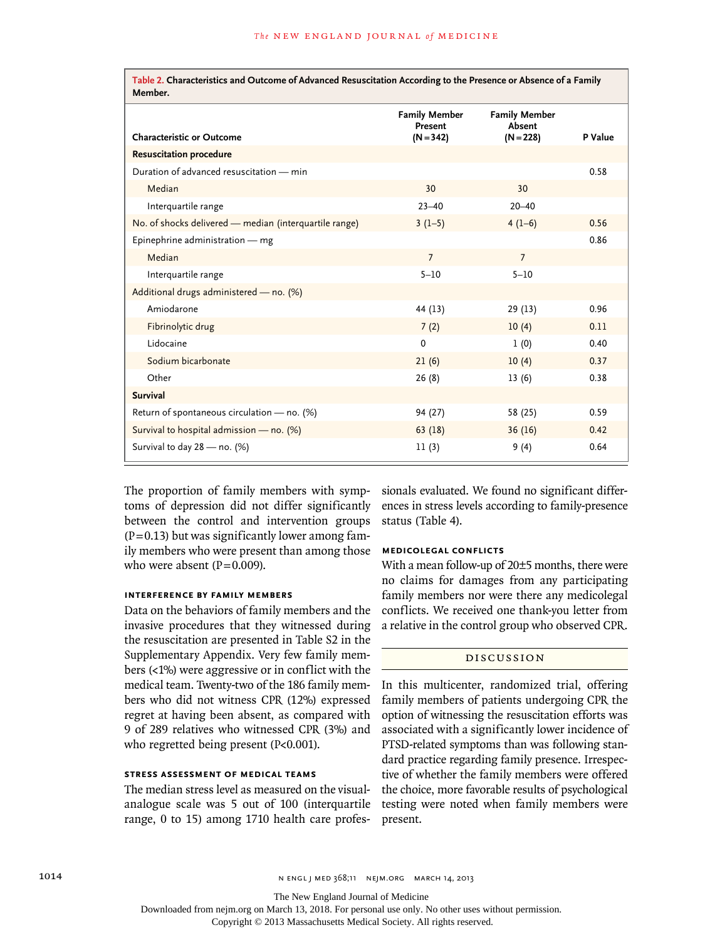**Table 2. Characteristics and Outcome of Advanced Resuscitation According to the Presence or Absence of a Family Member.**

| י וסיכו וועכן.                                         |                                                |                                               |         |
|--------------------------------------------------------|------------------------------------------------|-----------------------------------------------|---------|
| <b>Characteristic or Outcome</b>                       | <b>Family Member</b><br>Present<br>$(N = 342)$ | <b>Family Member</b><br>Absent<br>$(N = 228)$ | P Value |
| <b>Resuscitation procedure</b>                         |                                                |                                               |         |
| Duration of advanced resuscitation - min               |                                                |                                               | 0.58    |
| Median                                                 | 30                                             | 30                                            |         |
| Interquartile range                                    | $23 - 40$                                      | $20 - 40$                                     |         |
| No. of shocks delivered - median (interquartile range) | $3(1-5)$                                       | $4(1-6)$                                      | 0.56    |
| Epinephrine administration - mg                        |                                                |                                               | 0.86    |
| Median                                                 | $\overline{7}$                                 | $\overline{7}$                                |         |
| Interquartile range                                    | $5 - 10$                                       | $5 - 10$                                      |         |
| Additional drugs administered - no. (%)                |                                                |                                               |         |
| Amiodarone                                             | 44 (13)                                        | 29(13)                                        | 0.96    |
| Fibrinolytic drug                                      | 7(2)                                           | 10(4)                                         | 0.11    |
| Lidocaine                                              | $\mathbf 0$                                    | 1(0)                                          | 0.40    |
| Sodium bicarbonate                                     | 21(6)                                          | 10(4)                                         | 0.37    |
| Other                                                  | 26(8)                                          | 13(6)                                         | 0.38    |
| <b>Survival</b>                                        |                                                |                                               |         |
| Return of spontaneous circulation - no. (%)            | 94 (27)                                        | 58 (25)                                       | 0.59    |
| Survival to hospital admission - no. (%)               | 63(18)                                         | 36(16)                                        | 0.42    |
| Survival to day 28 - no. (%)                           | 11(3)                                          | 9(4)                                          | 0.64    |

The proportion of family members with symptoms of depression did not differ significantly between the control and intervention groups  $(P=0.13)$  but was significantly lower among family members who were present than among those who were absent  $(P=0.009)$ .

# **Interference by Family Members**

Data on the behaviors of family members and the invasive procedures that they witnessed during the resuscitation are presented in Table S2 in the Supplementary Appendix. Very few family members (<1%) were aggressive or in conflict with the medical team. Twenty-two of the 186 family members who did not witness CPR (12%) expressed regret at having been absent, as compared with 9 of 289 relatives who witnessed CPR (3%) and who regretted being present (P<0.001).

# **Stress Assessment of Medical Teams**

The median stress level as measured on the visualanalogue scale was 5 out of 100 (interquartile range, 0 to 15) among 1710 health care professionals evaluated. We found no significant differences in stress levels according to family-presence status (Table 4).

# **Medicolegal Conflicts**

With a mean follow-up of 20±5 months, there were no claims for damages from any participating family members nor were there any medicolegal conflicts. We received one thank-you letter from a relative in the control group who observed CPR.

#### Discussion

In this multicenter, randomized trial, offering family members of patients undergoing CPR the option of witnessing the resuscitation efforts was associated with a significantly lower incidence of PTSD-related symptoms than was following standard practice regarding family presence. Irrespective of whether the family members were offered the choice, more favorable results of psychological testing were noted when family members were present.

The New England Journal of Medicine

Downloaded from nejm.org on March 13, 2018. For personal use only. No other uses without permission.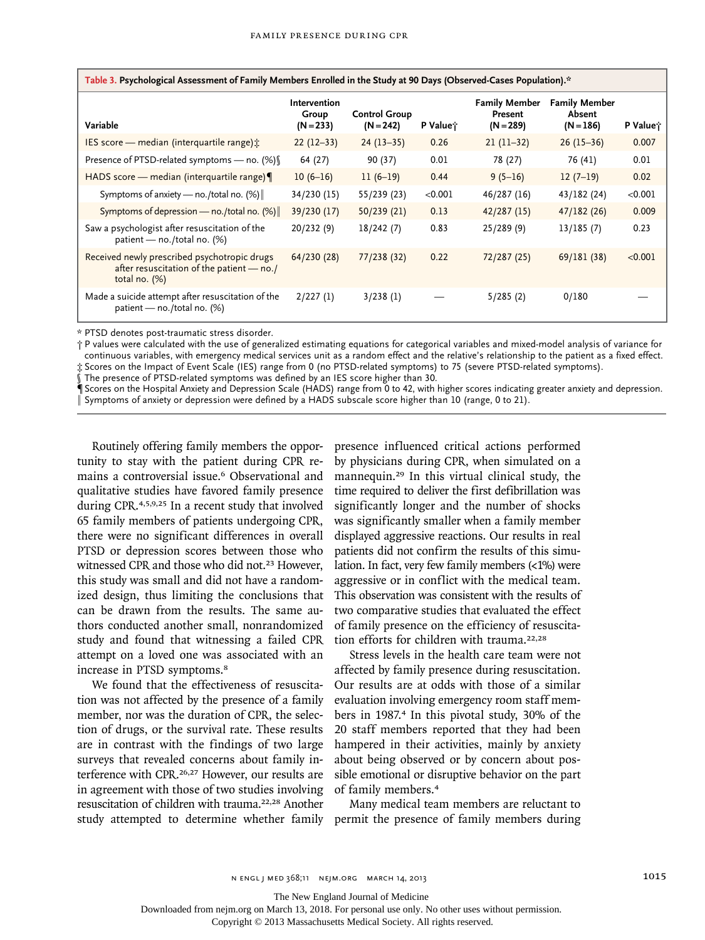| Table 3. Psychological Assessment of Family Members Enrolled in the Study at 90 Days (Observed-Cases Population)." |                                      |                                     |                      |                                                |                                               |          |
|--------------------------------------------------------------------------------------------------------------------|--------------------------------------|-------------------------------------|----------------------|------------------------------------------------|-----------------------------------------------|----------|
| Variable                                                                                                           | Intervention<br>Group<br>$(N = 233)$ | <b>Control Group</b><br>$(N = 242)$ | P Value <sup>*</sup> | <b>Family Member</b><br>Present<br>$(N = 289)$ | <b>Family Member</b><br>Absent<br>$(N = 186)$ | P Value; |
| IES score — median (interquartile range) :                                                                         | $22(12-33)$                          | $24(13-35)$                         | 0.26                 | $21(11-32)$                                    | $26(15-36)$                                   | 0.007    |
| Presence of PTSD-related symptoms - no. (%) §                                                                      | 64 (27)                              | 90 (37)                             | 0.01                 | 78 (27)                                        | 76 (41)                                       | 0.01     |
| HADS score - median (interquartile range)                                                                          | $10(6-16)$                           | $11(6-19)$                          | 0.44                 | $9(5-16)$                                      | $12(7-19)$                                    | 0.02     |
| Symptoms of anxiety — no./total no. $(\%)$                                                                         | 34/230 (15)                          | 55/239 (23)                         | < 0.001              | 46/287 (16)                                    | 43/182 (24)                                   | < 0.001  |
| Symptoms of depression — no./total no. $(\%)$                                                                      | 39/230 (17)                          | 50/239(21)                          | 0.13                 | 42/287(15)                                     | 47/182(26)                                    | 0.009    |
| Saw a psychologist after resuscitation of the<br>patient — no./total no. $(\%)$                                    | 20/232(9)                            | 18/242(7)                           | 0.83                 | 25/289(9)                                      | 13/185(7)                                     | 0.23     |
| Received newly prescribed psychotropic drugs<br>after resuscitation of the patient - no./<br>total no. $(\%)$      | 64/230 (28)                          | 77/238 (32)                         | 0.22                 | 72/287 (25)                                    | 69/181 (38)                                   | < 0.001  |
| Made a suicide attempt after resuscitation of the<br>patient - no./total no. (%)                                   | 2/227(1)                             | 3/238(1)                            |                      | 5/285(2)                                       | 0/180                                         |          |

**Table 3. Psychological Assessment of Family Members Enrolled in the Study at 90 Days (Observed-Cases Population).\***

\* PTSD denotes post-traumatic stress disorder.

† P values were calculated with the use of generalized estimating equations for categorical variables and mixed-model analysis of variance for continuous variables, with emergency medical services unit as a random effect and the relative's relationship to the patient as a fixed effect. ‡ Scores on the Impact of Event Scale (IES) range from 0 (no PTSD-related symptoms) to 75 (severe PTSD-related symptoms).

§ The presence of PTSD-related symptoms was defined by an IES score higher than 30.

¶Scores on the Hospital Anxiety and Depression Scale (HADS) range from 0 to 42, with higher scores indicating greater anxiety and depression. Symptoms of anxiety or depression were defined by a HADS subscale score higher than 10 (range, 0 to 21).

Routinely offering family members the opportunity to stay with the patient during CPR remains a controversial issue.6 Observational and qualitative studies have favored family presence during CPR.4,5,9,25 In a recent study that involved 65 family members of patients undergoing CPR, there were no significant differences in overall PTSD or depression scores between those who witnessed CPR and those who did not.<sup>23</sup> However, this study was small and did not have a randomized design, thus limiting the conclusions that can be drawn from the results. The same authors conducted another small, nonrandomized study and found that witnessing a failed CPR attempt on a loved one was associated with an increase in PTSD symptoms.<sup>8</sup>

We found that the effectiveness of resuscitation was not affected by the presence of a family member, nor was the duration of CPR, the selection of drugs, or the survival rate. These results are in contrast with the findings of two large surveys that revealed concerns about family interference with CPR.26,27 However, our results are in agreement with those of two studies involving resuscitation of children with trauma.22,28 Another presence influenced critical actions performed by physicians during CPR, when simulated on a mannequin.29 In this virtual clinical study, the time required to deliver the first defibrillation was significantly longer and the number of shocks was significantly smaller when a family member displayed aggressive reactions. Our results in real patients did not confirm the results of this simulation. In fact, very few family members (<1%) were aggressive or in conflict with the medical team. This observation was consistent with the results of two comparative studies that evaluated the effect of family presence on the efficiency of resuscitation efforts for children with trauma.<sup>22,28</sup>

Stress levels in the health care team were not affected by family presence during resuscitation. Our results are at odds with those of a similar evaluation involving emergency room staff members in 1987.4 In this pivotal study, 30% of the 20 staff members reported that they had been hampered in their activities, mainly by anxiety about being observed or by concern about possible emotional or disruptive behavior on the part of family members.<sup>4</sup>

study attempted to determine whether family permit the presence of family members during Many medical team members are reluctant to

The New England Journal of Medicine

Downloaded from nejm.org on March 13, 2018. For personal use only. No other uses without permission.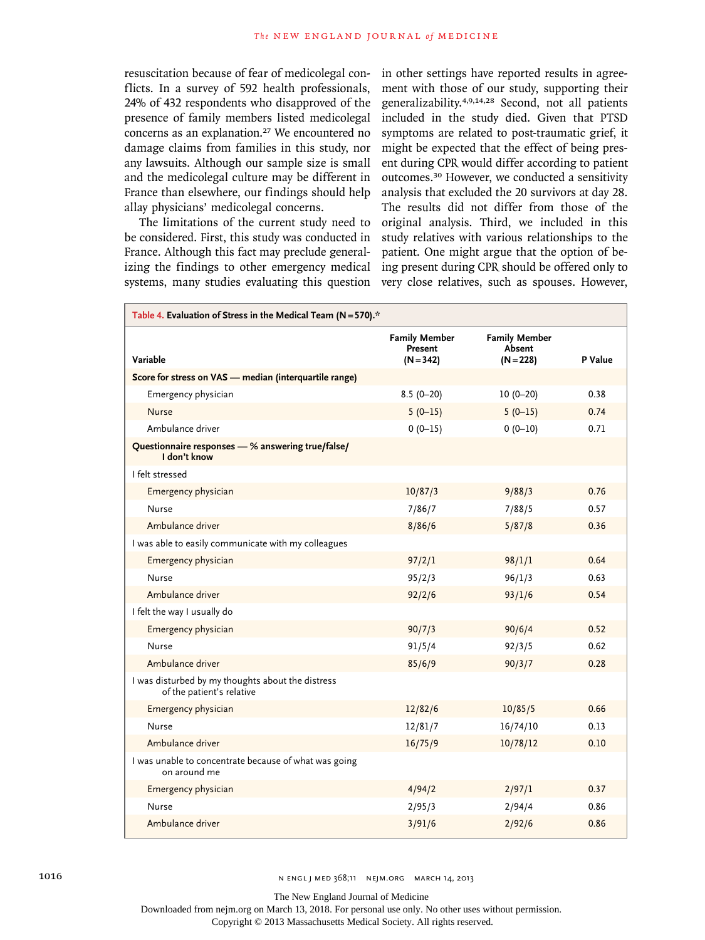resuscitation because of fear of medicolegal conflicts. In a survey of 592 health professionals, 24% of 432 respondents who disapproved of the presence of family members listed medicolegal concerns as an explanation.27 We encountered no damage claims from families in this study, nor any lawsuits. Although our sample size is small and the medicolegal culture may be different in France than elsewhere, our findings should help allay physicians' medicolegal concerns.

The limitations of the current study need to be considered. First, this study was conducted in France. Although this fact may preclude generalizing the findings to other emergency medical systems, many studies evaluating this question in other settings have reported results in agreement with those of our study, supporting their generalizability.4,9,14,28 Second, not all patients included in the study died. Given that PTSD symptoms are related to post-traumatic grief, it might be expected that the effect of being present during CPR would differ according to patient outcomes.30 However, we conducted a sensitivity analysis that excluded the 20 survivors at day 28. The results did not differ from those of the original analysis. Third, we included in this study relatives with various relationships to the patient. One might argue that the option of being present during CPR should be offered only to very close relatives, such as spouses. However,

| Table 4. Evaluation of Stress in the Medical Team (N = 570). <sup>*</sup>      |                                                |                                               |         |  |
|--------------------------------------------------------------------------------|------------------------------------------------|-----------------------------------------------|---------|--|
| Variable                                                                       | <b>Family Member</b><br>Present<br>$(N = 342)$ | <b>Family Member</b><br>Absent<br>$(N = 228)$ | P Value |  |
| Score for stress on VAS - median (interquartile range)                         |                                                |                                               |         |  |
| Emergency physician                                                            | $8.5(0-20)$                                    | $10(0-20)$                                    | 0.38    |  |
| <b>Nurse</b>                                                                   | $5(0-15)$                                      | $5(0-15)$                                     | 0.74    |  |
| Ambulance driver                                                               | $0(0-15)$                                      | $0(0-10)$                                     | 0.71    |  |
| Questionnaire responses - % answering true/false/<br>I don't know              |                                                |                                               |         |  |
| I felt stressed                                                                |                                                |                                               |         |  |
| Emergency physician                                                            | 10/87/3                                        | 9/88/3                                        | 0.76    |  |
| <b>Nurse</b>                                                                   | 7/86/7                                         | 7/88/5                                        | 0.57    |  |
| Ambulance driver                                                               | 8/86/6                                         | 5/87/8                                        | 0.36    |  |
| I was able to easily communicate with my colleagues                            |                                                |                                               |         |  |
| Emergency physician                                                            | 97/2/1                                         | 98/1/1                                        | 0.64    |  |
| <b>Nurse</b>                                                                   | 95/2/3                                         | 96/1/3                                        | 0.63    |  |
| Ambulance driver                                                               | 92/2/6                                         | 93/1/6                                        | 0.54    |  |
| I felt the way I usually do                                                    |                                                |                                               |         |  |
| Emergency physician                                                            | 90/7/3                                         | 90/6/4                                        | 0.52    |  |
| Nurse                                                                          | 91/5/4                                         | 92/3/5                                        | 0.62    |  |
| Ambulance driver                                                               | 85/6/9                                         | 90/3/7                                        | 0.28    |  |
| I was disturbed by my thoughts about the distress<br>of the patient's relative |                                                |                                               |         |  |
| Emergency physician                                                            | 12/82/6                                        | 10/85/5                                       | 0.66    |  |
| <b>Nurse</b>                                                                   | 12/81/7                                        | 16/74/10                                      | 0.13    |  |
| Ambulance driver                                                               | 16/75/9                                        | 10/78/12                                      | 0.10    |  |
| I was unable to concentrate because of what was going<br>on around me          |                                                |                                               |         |  |
| Emergency physician                                                            | 4/94/2                                         | 2/97/1                                        | 0.37    |  |
| Nurse                                                                          | 2/95/3                                         | 2/94/4                                        | 0.86    |  |
| Ambulance driver                                                               | 3/91/6                                         | 2/92/6                                        | 0.86    |  |

The New England Journal of Medicine

Downloaded from nejm.org on March 13, 2018. For personal use only. No other uses without permission.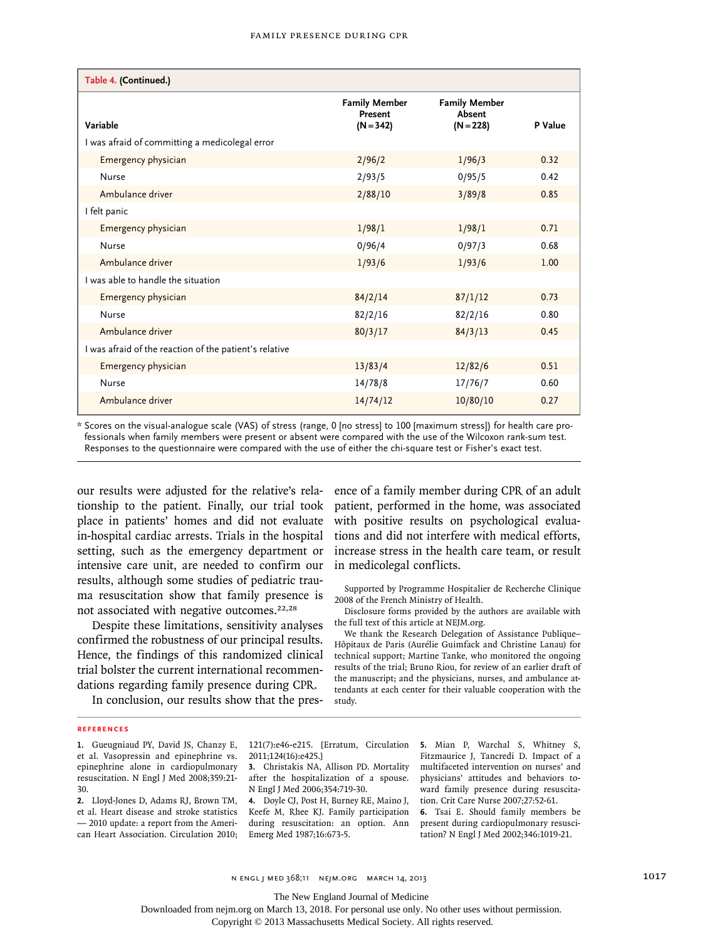| Table 4. (Continued.)                                  |                                                |                                               |         |
|--------------------------------------------------------|------------------------------------------------|-----------------------------------------------|---------|
| Variable                                               | <b>Family Member</b><br>Present<br>$(N = 342)$ | <b>Family Member</b><br>Absent<br>$(N = 228)$ | P Value |
| I was afraid of committing a medicolegal error         |                                                |                                               |         |
| Emergency physician                                    | 2/96/2                                         | 1/96/3                                        | 0.32    |
| Nurse                                                  | 2/93/5                                         | 0/95/5                                        | 0.42    |
| Ambulance driver                                       | 2/88/10                                        | 3/89/8                                        | 0.85    |
| I felt panic                                           |                                                |                                               |         |
| Emergency physician                                    | 1/98/1                                         | 1/98/1                                        | 0.71    |
| Nurse                                                  | 0/96/4                                         | 0/97/3                                        | 0.68    |
| Ambulance driver                                       | 1/93/6                                         | 1/93/6                                        | 1.00    |
| I was able to handle the situation                     |                                                |                                               |         |
| Emergency physician                                    | 84/2/14                                        | 87/1/12                                       | 0.73    |
| Nurse                                                  | 82/2/16                                        | 82/2/16                                       | 0.80    |
| Ambulance driver                                       | 80/3/17                                        | 84/3/13                                       | 0.45    |
| I was afraid of the reaction of the patient's relative |                                                |                                               |         |
| Emergency physician                                    | 13/83/4                                        | 12/82/6                                       | 0.51    |
| Nurse                                                  | 14/78/8                                        | 17/76/7                                       | 0.60    |
| Ambulance driver                                       | 14/74/12                                       | 10/80/10                                      | 0.27    |

\* Scores on the visual-analogue scale (VAS) of stress (range, 0 [no stress] to 100 [maximum stress]) for health care professionals when family members were present or absent were compared with the use of the Wilcoxon rank-sum test. Responses to the questionnaire were compared with the use of either the chi-square test or Fisher's exact test.

our results were adjusted for the relative's rela-ence of a family member during CPR of an adult tionship to the patient. Finally, our trial took place in patients' homes and did not evaluate in-hospital cardiac arrests. Trials in the hospital setting, such as the emergency department or intensive care unit, are needed to confirm our results, although some studies of pediatric trauma resuscitation show that family presence is not associated with negative outcomes.22,28

Despite these limitations, sensitivity analyses confirmed the robustness of our principal results. Hence, the findings of this randomized clinical trial bolster the current international recommendations regarding family presence during CPR.

patient, performed in the home, was associated with positive results on psychological evaluations and did not interfere with medical efforts, increase stress in the health care team, or result in medicolegal conflicts.

Supported by Programme Hospitalier de Recherche Clinique 2008 of the French Ministry of Health.

Disclosure forms provided by the authors are available with the full text of this article at NEJM.org.

We thank the Research Delegation of Assistance Publique– Hôpitaux de Paris (Aurélie Guimfack and Christine Lanau) for technical support; Martine Tanke, who monitored the ongoing results of the trial; Bruno Riou, for review of an earlier draft of the manuscript; and the physicians, nurses, and ambulance attendants at each center for their valuable cooperation with the study.

In conclusion, our results show that the pres-

#### **References**

**2.** Lloyd-Jones D, Adams RJ, Brown TM, et al. Heart disease and stroke statistics — 2010 update: a report from the American Heart Association. Circulation 2010; 2011;124(16):e425.]

**3.** Christakis NA, Allison PD. Mortality after the hospitalization of a spouse. N Engl J Med 2006;354:719-30.

**4.** Doyle CJ, Post H, Burney RE, Maino J, Keefe M, Rhee KJ. Family participation during resuscitation: an option. Ann Emerg Med 1987;16:673-5.

121(7):e46-e215. [Erratum, Circulation **5.** Mian P, Warchal S, Whitney S, Fitzmaurice J, Tancredi D. Impact of a multifaceted intervention on nurses' and physicians' attitudes and behaviors toward family presence during resuscitation. Crit Care Nurse 2007;27:52-61.

**6.** Tsai E. Should family members be present during cardiopulmonary resuscitation? N Engl J Med 2002;346:1019-21.

n engl j med 368;11 nejm.org march 14, 2013 1017

The New England Journal of Medicine

Downloaded from nejm.org on March 13, 2018. For personal use only. No other uses without permission.

**<sup>1.</sup>** Gueugniaud PY, David JS, Chanzy E, et al. Vasopressin and epinephrine vs. epinephrine alone in cardiopulmonary resuscitation. N Engl J Med 2008;359:21- 30.